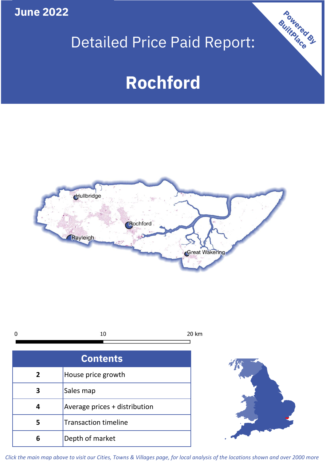**June 2022**



Powered By

# **Rochford**





*Click the main map above to visit our Cities, Towns & Villages page, for local analysis of the locations shown and over 2000 more*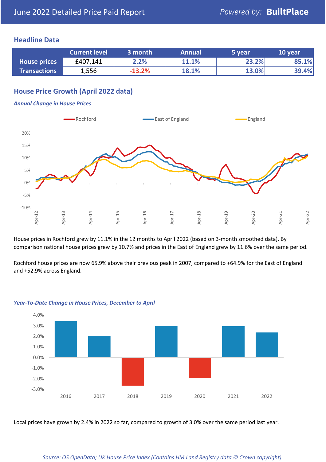#### **Headline Data**

|                     | <b>Current level</b> | 3 month  | <b>Annual</b> | 5 year | 10 year |
|---------------------|----------------------|----------|---------------|--------|---------|
| <b>House prices</b> | £407,141             | 2.2%     | 11.1%         | 23.2%  | 85.1%   |
| <b>Transactions</b> | 1,556                | $-13.2%$ | 18.1%         | 13.0%  | 39.4%   |

# **House Price Growth (April 2022 data)**

#### *Annual Change in House Prices*



House prices in Rochford grew by 11.1% in the 12 months to April 2022 (based on 3-month smoothed data). By comparison national house prices grew by 10.7% and prices in the East of England grew by 11.6% over the same period.

Rochford house prices are now 65.9% above their previous peak in 2007, compared to +64.9% for the East of England and +52.9% across England.



#### *Year-To-Date Change in House Prices, December to April*

Local prices have grown by 2.4% in 2022 so far, compared to growth of 3.0% over the same period last year.

#### *Source: OS OpenData; UK House Price Index (Contains HM Land Registry data © Crown copyright)*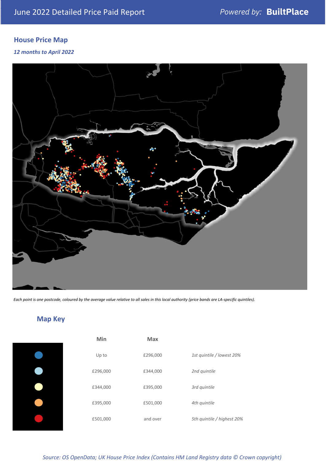# **House Price Map**

*12 months to April 2022*



*Each point is one postcode, coloured by the average value relative to all sales in this local authority (price bands are LA-specific quintiles).*

**Map Key**

| Min      | <b>Max</b> |                            |
|----------|------------|----------------------------|
| Up to    | £296,000   | 1st quintile / lowest 20%  |
| £296,000 | £344,000   | 2nd quintile               |
| £344,000 | £395,000   | 3rd quintile               |
| £395,000 | £501,000   | 4th quintile               |
| £501,000 | and over   | 5th quintile / highest 20% |

#### *Source: OS OpenData; UK House Price Index (Contains HM Land Registry data © Crown copyright)*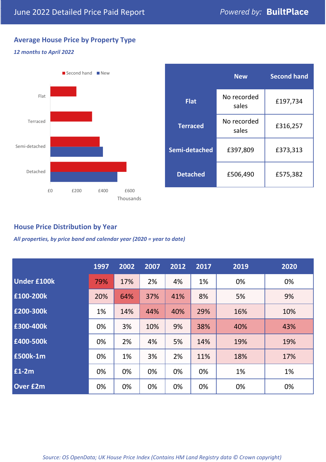# **Average House Price by Property Type**

#### *12 months to April 2022*



|                 | <b>New</b>           | <b>Second hand</b> |  |
|-----------------|----------------------|--------------------|--|
| <b>Flat</b>     | No recorded<br>sales | £197,734           |  |
| <b>Terraced</b> | No recorded<br>sales | £316,257           |  |
| Semi-detached   | £397,809             | £373,313           |  |
| <b>Detached</b> | £506,490             | £575,382           |  |

## **House Price Distribution by Year**

*All properties, by price band and calendar year (2020 = year to date)*

|                    | 1997 | 2002 | 2007 | 2012 | 2017 | 2019 | 2020 |
|--------------------|------|------|------|------|------|------|------|
| <b>Under £100k</b> | 79%  | 17%  | 2%   | 4%   | 1%   | 0%   | 0%   |
| £100-200k          | 20%  | 64%  | 37%  | 41%  | 8%   | 5%   | 9%   |
| £200-300k          | 1%   | 14%  | 44%  | 40%  | 29%  | 16%  | 10%  |
| £300-400k          | 0%   | 3%   | 10%  | 9%   | 38%  | 40%  | 43%  |
| £400-500k          | 0%   | 2%   | 4%   | 5%   | 14%  | 19%  | 19%  |
| <b>£500k-1m</b>    | 0%   | 1%   | 3%   | 2%   | 11%  | 18%  | 17%  |
| £1-2m              | 0%   | 0%   | 0%   | 0%   | 0%   | 1%   | 1%   |
| <b>Over £2m</b>    | 0%   | 0%   | 0%   | 0%   | 0%   | 0%   | 0%   |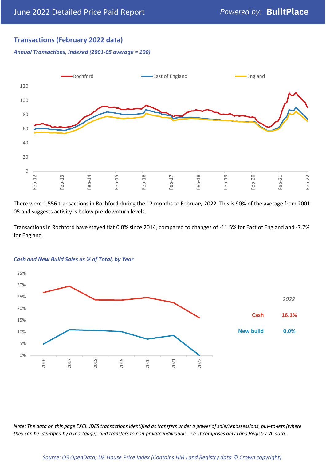# **Transactions (February 2022 data)**

*Annual Transactions, Indexed (2001-05 average = 100)*



There were 1,556 transactions in Rochford during the 12 months to February 2022. This is 90% of the average from 2001- 05 and suggests activity is below pre-downturn levels.

Transactions in Rochford have stayed flat 0.0% since 2014, compared to changes of -11.5% for East of England and -7.7% for England.



#### *Cash and New Build Sales as % of Total, by Year*

*Note: The data on this page EXCLUDES transactions identified as transfers under a power of sale/repossessions, buy-to-lets (where they can be identified by a mortgage), and transfers to non-private individuals - i.e. it comprises only Land Registry 'A' data.*